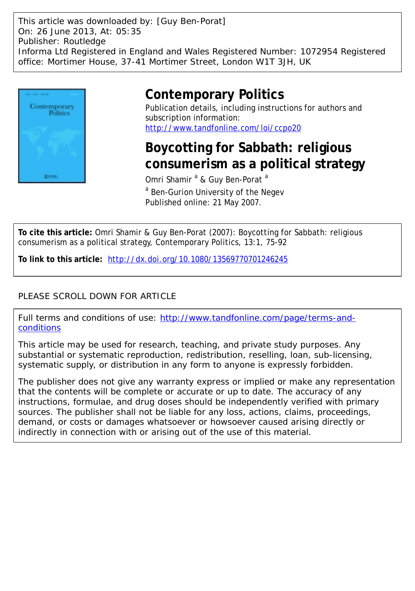This article was downloaded by: [Guy Ben-Porat] On: 26 June 2013, At: 05:35 Publisher: Routledge Informa Ltd Registered in England and Wales Registered Number: 1072954 Registered office: Mortimer House, 37-41 Mortimer Street, London W1T 3JH, UK



# **Contemporary Politics**

Publication details, including instructions for authors and subscription information: <http://www.tandfonline.com/loi/ccpo20>

# **Boycotting for Sabbath: religious consumerism as a political strategy**

Omri Shamir<sup>a</sup> & Guy Ben-Porat<sup>a</sup> <sup>a</sup> Ben-Gurion University of the Negev Published online: 21 May 2007.

**To cite this article:** Omri Shamir & Guy Ben-Porat (2007): Boycotting for Sabbath: religious consumerism as a political strategy, Contemporary Politics, 13:1, 75-92

**To link to this article:** <http://dx.doi.org/10.1080/13569770701246245>

# PLEASE SCROLL DOWN FOR ARTICLE

Full terms and conditions of use: [http://www.tandfonline.com/page/terms-and](http://www.tandfonline.com/page/terms-and-conditions)[conditions](http://www.tandfonline.com/page/terms-and-conditions)

This article may be used for research, teaching, and private study purposes. Any substantial or systematic reproduction, redistribution, reselling, loan, sub-licensing, systematic supply, or distribution in any form to anyone is expressly forbidden.

The publisher does not give any warranty express or implied or make any representation that the contents will be complete or accurate or up to date. The accuracy of any instructions, formulae, and drug doses should be independently verified with primary sources. The publisher shall not be liable for any loss, actions, claims, proceedings, demand, or costs or damages whatsoever or howsoever caused arising directly or indirectly in connection with or arising out of the use of this material.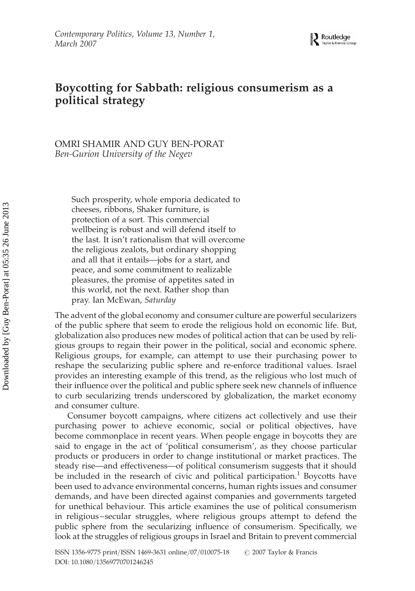

# Boycotting for Sabbath: religious consumerism as a political strategy

OMRI SHAMIR AND GUY BEN-PORAT Ben-Gurion University of the Negev

Such prosperity, whole emporia dedicated to cheeses, ribbons, Shaker furniture, is protection of a sort. This commercial wellbeing is robust and will defend itself to the last. It isn't rationalism that will overcome the religious zealots, but ordinary shopping and all that it entails—jobs for a start, and peace, and some commitment to realizable pleasures, the promise of appetites sated in this world, not the next. Rather shop than pray. Ian McEwan, Saturday

The advent of the global economy and consumer culture are powerful secularizers of the public sphere that seem to erode the religious hold on economic life. But, globalization also produces new modes of political action that can be used by religious groups to regain their power in the political, social and economic sphere. Religious groups, for example, can attempt to use their purchasing power to reshape the secularizing public sphere and re-enforce traditional values. Israel provides an interesting example of this trend, as the religious who lost much of their influence over the political and public sphere seek new channels of influence to curb secularizing trends underscored by globalization, the market economy and consumer culture.

Consumer boycott campaigns, where citizens act collectively and use their purchasing power to achieve economic, social or political objectives, have become commonplace in recent years. When people engage in boycotts they are said to engage in the act of 'political consumerism', as they choose particular products or producers in order to change institutional or market practices. The steady rise—and effectiveness—of political consumerism suggests that it should be included in the research of civic and political participation.<sup>1</sup> Boycotts have been used to advance environmental concerns, human rights issues and consumer demands, and have been directed against companies and governments targeted for unethical behaviour. This article examines the use of political consumerism in religious–secular struggles, where religious groups attempt to defend the public sphere from the secularizing influence of consumerism. Specifically, we look at the struggles of religious groups in Israel and Britain to prevent commercial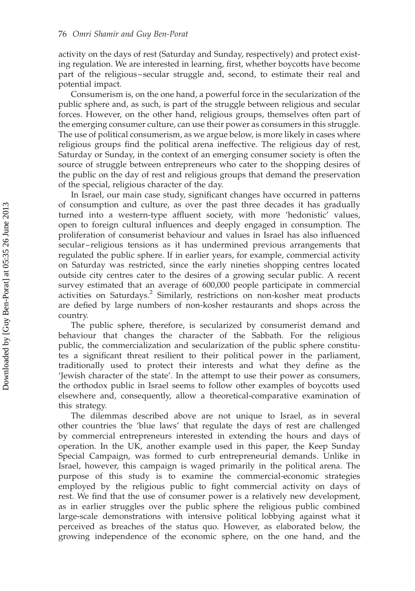activity on the days of rest (Saturday and Sunday, respectively) and protect existing regulation. We are interested in learning, first, whether boycotts have become part of the religious–secular struggle and, second, to estimate their real and potential impact.

Consumerism is, on the one hand, a powerful force in the secularization of the public sphere and, as such, is part of the struggle between religious and secular forces. However, on the other hand, religious groups, themselves often part of the emerging consumer culture, can use their power as consumers in this struggle. The use of political consumerism, as we argue below, is more likely in cases where religious groups find the political arena ineffective. The religious day of rest, Saturday or Sunday, in the context of an emerging consumer society is often the source of struggle between entrepreneurs who cater to the shopping desires of the public on the day of rest and religious groups that demand the preservation of the special, religious character of the day.

In Israel, our main case study, significant changes have occurred in patterns of consumption and culture, as over the past three decades it has gradually turned into a western-type affluent society, with more 'hedonistic' values, open to foreign cultural influences and deeply engaged in consumption. The proliferation of consumerist behaviour and values in Israel has also influenced secular–religious tensions as it has undermined previous arrangements that regulated the public sphere. If in earlier years, for example, commercial activity on Saturday was restricted, since the early nineties shopping centres located outside city centres cater to the desires of a growing secular public. A recent survey estimated that an average of 600,000 people participate in commercial activities on Saturdays.<sup>2</sup> Similarly, restrictions on non-kosher meat products are defied by large numbers of non-kosher restaurants and shops across the country.

The public sphere, therefore, is secularized by consumerist demand and behaviour that changes the character of the Sabbath. For the religious public, the commercialization and secularization of the public sphere constitutes a significant threat resilient to their political power in the parliament, traditionally used to protect their interests and what they define as the 'Jewish character of the state'. In the attempt to use their power as consumers, the orthodox public in Israel seems to follow other examples of boycotts used elsewhere and, consequently, allow a theoretical-comparative examination of this strategy.

The dilemmas described above are not unique to Israel, as in several other countries the 'blue laws' that regulate the days of rest are challenged by commercial entrepreneurs interested in extending the hours and days of operation. In the UK, another example used in this paper, the Keep Sunday Special Campaign, was formed to curb entrepreneurial demands. Unlike in Israel, however, this campaign is waged primarily in the political arena. The purpose of this study is to examine the commercial-economic strategies employed by the religious public to fight commercial activity on days of rest. We find that the use of consumer power is a relatively new development, as in earlier struggles over the public sphere the religious public combined large-scale demonstrations with intensive political lobbying against what it perceived as breaches of the status quo. However, as elaborated below, the growing independence of the economic sphere, on the one hand, and the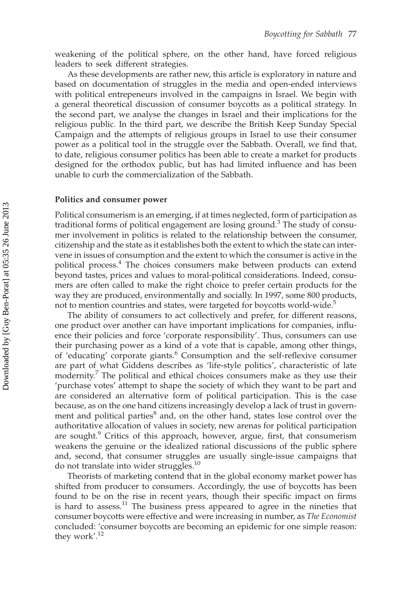weakening of the political sphere, on the other hand, have forced religious leaders to seek different strategies.

As these developments are rather new, this article is exploratory in nature and based on documentation of struggles in the media and open-ended interviews with political entrepeneurs involved in the campaigns in Israel. We begin with a general theoretical discussion of consumer boycotts as a political strategy. In the second part, we analyse the changes in Israel and their implications for the religious public. In the third part, we describe the British Keep Sunday Special Campaign and the attempts of religious groups in Israel to use their consumer power as a political tool in the struggle over the Sabbath. Overall, we find that, to date, religious consumer politics has been able to create a market for products designed for the orthodox public, but has had limited influence and has been unable to curb the commercialization of the Sabbath.

### Politics and consumer power

Political consumerism is an emerging, if at times neglected, form of participation as traditional forms of political engagement are losing ground.3 The study of consumer involvement in politics is related to the relationship between the consumer, citizenship and the state as it establishes both the extent to which the state can intervene in issues of consumption and the extent to which the consumer is active in the political process.<sup>4</sup> The choices consumers make between products can extend beyond tastes, prices and values to moral-political considerations. Indeed, consumers are often called to make the right choice to prefer certain products for the way they are produced, environmentally and socially. In 1997, some 800 products, not to mention countries and states, were targeted for boycotts world-wide.<sup>5</sup>

The ability of consumers to act collectively and prefer, for different reasons, one product over another can have important implications for companies, influence their policies and force 'corporate responsibility'. Thus, consumers can use their purchasing power as a kind of a vote that is capable, among other things, of 'educating' corporate giants.<sup>6</sup> Consumption and the self-reflexive consumer are part of what Giddens describes as 'life-style politics', characteristic of late modernity.<sup>7</sup> The political and ethical choices consumers make as they use their 'purchase votes' attempt to shape the society of which they want to be part and are considered an alternative form of political participation. This is the case because, as on the one hand citizens increasingly develop a lack of trust in government and political parties<sup>8</sup> and, on the other hand, states lose control over the authoritative allocation of values in society, new arenas for political participation are sought.<sup>9</sup> Critics of this approach, however, argue, first, that consumerism weakens the genuine or the idealized rational discussions of the public sphere and, second, that consumer struggles are usually single-issue campaigns that do not translate into wider struggles.10

Theorists of marketing contend that in the global economy market power has shifted from producer to consumers. Accordingly, the use of boycotts has been found to be on the rise in recent years, though their specific impact on firms is hard to assess.<sup>11</sup> The business press appeared to agree in the nineties that consumer boycotts were effective and were increasing in number, as The Economist concluded: 'consumer boycotts are becoming an epidemic for one simple reason: they work'.<sup>12</sup>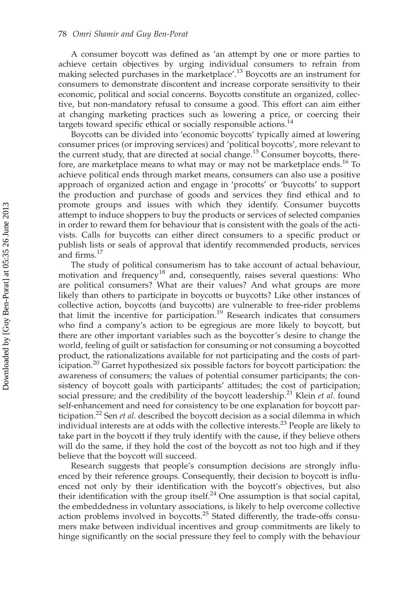A consumer boycott was defined as 'an attempt by one or more parties to achieve certain objectives by urging individual consumers to refrain from making selected purchases in the marketplace'.<sup>13</sup> Boycotts are an instrument for consumers to demonstrate discontent and increase corporate sensitivity to their economic, political and social concerns. Boycotts constitute an organized, collective, but non-mandatory refusal to consume a good. This effort can aim either at changing marketing practices such as lowering a price, or coercing their targets toward specific ethical or socially responsible actions.<sup>14</sup>

Boycotts can be divided into 'economic boycotts' typically aimed at lowering consumer prices (or improving services) and 'political boycotts', more relevant to the current study, that are directed at social change.<sup>15</sup> Consumer boycotts, therefore, are marketplace means to what may or may not be marketplace ends.<sup>16</sup> To achieve political ends through market means, consumers can also use a positive approach of organized action and engage in 'procotts' or 'buycotts' to support the production and purchase of goods and services they find ethical and to promote groups and issues with which they identify. Consumer buycotts attempt to induce shoppers to buy the products or services of selected companies in order to reward them for behaviour that is consistent with the goals of the activists. Calls for buycotts can either direct consumers to a specific product or publish lists or seals of approval that identify recommended products, services and firms.<sup>17</sup>

The study of political consumerism has to take account of actual behaviour, motivation and frequency<sup>18</sup> and, consequently, raises several questions: Who are political consumers? What are their values? And what groups are more likely than others to participate in boycotts or buycotts? Like other instances of collective action, boycotts (and buycotts) are vulnerable to free-rider problems that limit the incentive for participation.<sup>19</sup> Research indicates that consumers who find a company's action to be egregious are more likely to boycott, but there are other important variables such as the boycotter's desire to change the world, feeling of guilt or satisfaction for consuming or not consuming a boycotted product, the rationalizations available for not participating and the costs of participation.<sup>20</sup> Garret hypothesized six possible factors for boycott participation: the awareness of consumers; the values of potential consumer participants; the consistency of boycott goals with participants' attitudes; the cost of participation; social pressure; and the credibility of the boycott leadership.<sup>21</sup> Klein et al. found self-enhancement and need for consistency to be one explanation for boycott participation.<sup>22</sup> Sen *et al.* described the boycott decision as a social dilemma in which individual interests are at odds with the collective interests.<sup>23</sup> People are likely to take part in the boycott if they truly identify with the cause, if they believe others will do the same, if they hold the cost of the boycott as not too high and if they believe that the boycott will succeed.

Research suggests that people's consumption decisions are strongly influenced by their reference groups. Consequently, their decision to boycott is influenced not only by their identification with the boycott's objectives, but also their identification with the group itself. $24$  One assumption is that social capital, the embeddedness in voluntary associations, is likely to help overcome collective action problems involved in boycotts.<sup>25</sup> Stated differently, the trade-offs consumers make between individual incentives and group commitments are likely to hinge significantly on the social pressure they feel to comply with the behaviour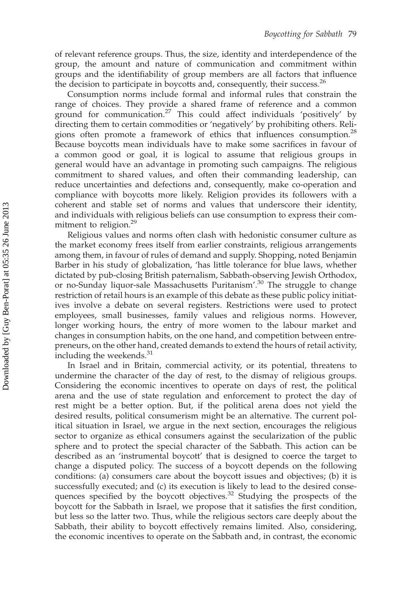of relevant reference groups. Thus, the size, identity and interdependence of the group, the amount and nature of communication and commitment within groups and the identifiability of group members are all factors that influence the decision to participate in boycotts and, consequently, their success.<sup>26</sup>

Consumption norms include formal and informal rules that constrain the range of choices. They provide a shared frame of reference and a common ground for communication.<sup>27</sup> This could affect individuals 'positively' by directing them to certain commodities or 'negatively' by prohibiting others. Religions often promote a framework of ethics that influences consumption.<sup>28</sup> Because boycotts mean individuals have to make some sacrifices in favour of a common good or goal, it is logical to assume that religious groups in general would have an advantage in promoting such campaigns. The religious commitment to shared values, and often their commanding leadership, can reduce uncertainties and defections and, consequently, make co-operation and compliance with boycotts more likely. Religion provides its followers with a coherent and stable set of norms and values that underscore their identity, and individuals with religious beliefs can use consumption to express their commitment to religion.<sup>29</sup>

Religious values and norms often clash with hedonistic consumer culture as the market economy frees itself from earlier constraints, religious arrangements among them, in favour of rules of demand and supply. Shopping, noted Benjamin Barber in his study of globalization, 'has little tolerance for blue laws, whether dictated by pub-closing British paternalism, Sabbath-observing Jewish Orthodox, or no-Sunday liquor-sale Massachusetts Puritanism'.<sup>30</sup> The struggle to change restriction of retail hours is an example of this debate as these public policy initiatives involve a debate on several registers. Restrictions were used to protect employees, small businesses, family values and religious norms. However, longer working hours, the entry of more women to the labour market and changes in consumption habits, on the one hand, and competition between entrepreneurs, on the other hand, created demands to extend the hours of retail activity, including the weekends.<sup>31</sup>

In Israel and in Britain, commercial activity, or its potential, threatens to undermine the character of the day of rest, to the dismay of religious groups. Considering the economic incentives to operate on days of rest, the political arena and the use of state regulation and enforcement to protect the day of rest might be a better option. But, if the political arena does not yield the desired results, political consumerism might be an alternative. The current political situation in Israel, we argue in the next section, encourages the religious sector to organize as ethical consumers against the secularization of the public sphere and to protect the special character of the Sabbath. This action can be described as an 'instrumental boycott' that is designed to coerce the target to change a disputed policy. The success of a boycott depends on the following conditions: (a) consumers care about the boycott issues and objectives; (b) it is successfully executed; and (c) its execution is likely to lead to the desired consequences specified by the boycott objectives.<sup>32</sup> Studying the prospects of the boycott for the Sabbath in Israel, we propose that it satisfies the first condition, but less so the latter two. Thus, while the religious sectors care deeply about the Sabbath, their ability to boycott effectively remains limited. Also, considering, the economic incentives to operate on the Sabbath and, in contrast, the economic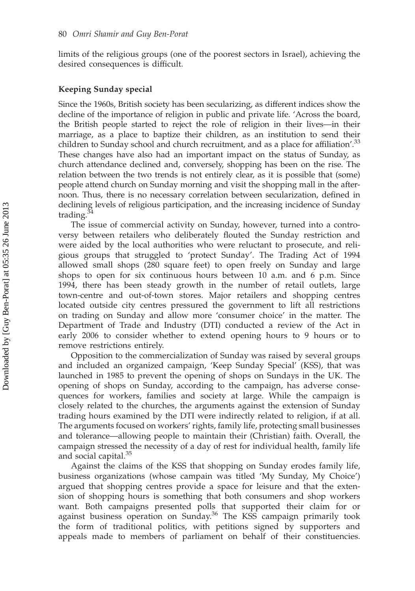limits of the religious groups (one of the poorest sectors in Israel), achieving the desired consequences is difficult.

### Keeping Sunday special

Since the 1960s, British society has been secularizing, as different indices show the decline of the importance of religion in public and private life. 'Across the board, the British people started to reject the role of religion in their lives—in their marriage, as a place to baptize their children, as an institution to send their children to Sunday school and church recruitment, and as a place for affiliation'.<sup>33</sup> These changes have also had an important impact on the status of Sunday, as church attendance declined and, conversely, shopping has been on the rise. The relation between the two trends is not entirely clear, as it is possible that (some) people attend church on Sunday morning and visit the shopping mall in the afternoon. Thus, there is no necessary correlation between secularization, defined in declining levels of religious participation, and the increasing incidence of Sunday trading. $34$ 

The issue of commercial activity on Sunday, however, turned into a controversy between retailers who deliberately flouted the Sunday restriction and were aided by the local authorities who were reluctant to prosecute, and religious groups that struggled to 'protect Sunday'. The Trading Act of 1994 allowed small shops (280 square feet) to open freely on Sunday and large shops to open for six continuous hours between 10 a.m. and 6 p.m. Since 1994, there has been steady growth in the number of retail outlets, large town-centre and out-of-town stores. Major retailers and shopping centres located outside city centres pressured the government to lift all restrictions on trading on Sunday and allow more 'consumer choice' in the matter. The Department of Trade and Industry (DTI) conducted a review of the Act in early 2006 to consider whether to extend opening hours to 9 hours or to remove restrictions entirely.

Opposition to the commercialization of Sunday was raised by several groups and included an organized campaign, 'Keep Sunday Special' (KSS), that was launched in 1985 to prevent the opening of shops on Sundays in the UK. The opening of shops on Sunday, according to the campaign, has adverse consequences for workers, families and society at large. While the campaign is closely related to the churches, the arguments against the extension of Sunday trading hours examined by the DTI were indirectly related to religion, if at all. The arguments focused on workers' rights, family life, protecting small businesses and tolerance—allowing people to maintain their (Christian) faith. Overall, the campaign stressed the necessity of a day of rest for individual health, family life and social capital.<sup>35</sup>

Against the claims of the KSS that shopping on Sunday erodes family life, business organizations (whose campain was titled 'My Sunday, My Choice') argued that shopping centres provide a space for leisure and that the extension of shopping hours is something that both consumers and shop workers want. Both campaigns presented polls that supported their claim for or against business operation on Sunday.<sup>36</sup> The KSS campaign primarily took the form of traditional politics, with petitions signed by supporters and appeals made to members of parliament on behalf of their constituencies.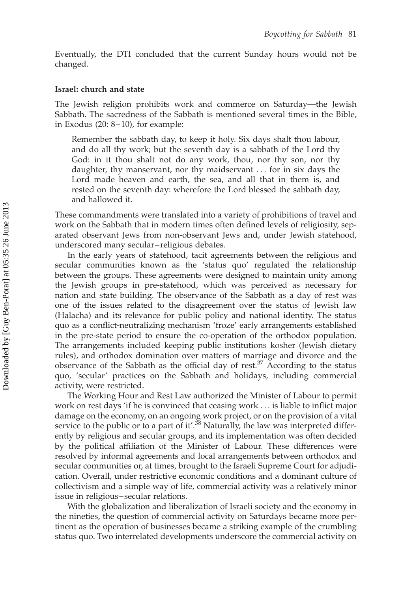Eventually, the DTI concluded that the current Sunday hours would not be changed.

# Israel: church and state

The Jewish religion prohibits work and commerce on Saturday—the Jewish Sabbath. The sacredness of the Sabbath is mentioned several times in the Bible, in Exodus (20: 8–10), for example:

Remember the sabbath day, to keep it holy. Six days shalt thou labour, and do all thy work; but the seventh day is a sabbath of the Lord thy God: in it thou shalt not do any work, thou, nor thy son, nor thy daughter, thy manservant, nor thy maidservant ... for in six days the Lord made heaven and earth, the sea, and all that in them is, and rested on the seventh day: wherefore the Lord blessed the sabbath day, and hallowed it.

These commandments were translated into a variety of prohibitions of travel and work on the Sabbath that in modern times often defined levels of religiosity, separated observant Jews from non-observant Jews and, under Jewish statehood, underscored many secular–religious debates.

In the early years of statehood, tacit agreements between the religious and secular communities known as the 'status quo' regulated the relationship between the groups. These agreements were designed to maintain unity among the Jewish groups in pre-statehood, which was perceived as necessary for nation and state building. The observance of the Sabbath as a day of rest was one of the issues related to the disagreement over the status of Jewish law (Halacha) and its relevance for public policy and national identity. The status quo as a conflict-neutralizing mechanism 'froze' early arrangements established in the pre-state period to ensure the co-operation of the orthodox population. The arrangements included keeping public institutions kosher (Jewish dietary rules), and orthodox domination over matters of marriage and divorce and the observance of the Sabbath as the official day of rest.<sup>37</sup> According to the status quo, 'secular' practices on the Sabbath and holidays, including commercial activity, were restricted.

The Working Hour and Rest Law authorized the Minister of Labour to permit work on rest days 'if he is convinced that ceasing work ... is liable to inflict major damage on the economy, on an ongoing work project, or on the provision of a vital service to the public or to a part of it'.<sup>38</sup> Naturally, the law was interpreted differently by religious and secular groups, and its implementation was often decided by the political affiliation of the Minister of Labour. These differences were resolved by informal agreements and local arrangements between orthodox and secular communities or, at times, brought to the Israeli Supreme Court for adjudication. Overall, under restrictive economic conditions and a dominant culture of collectivism and a simple way of life, commercial activity was a relatively minor issue in religious–secular relations.

With the globalization and liberalization of Israeli society and the economy in the nineties, the question of commercial activity on Saturdays became more pertinent as the operation of businesses became a striking example of the crumbling status quo. Two interrelated developments underscore the commercial activity on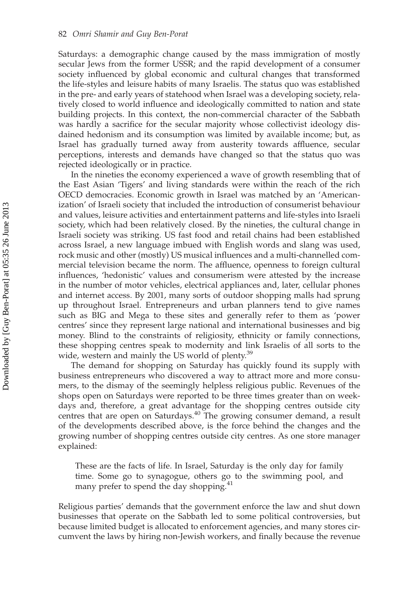Saturdays: a demographic change caused by the mass immigration of mostly secular Jews from the former USSR; and the rapid development of a consumer society influenced by global economic and cultural changes that transformed the life-styles and leisure habits of many Israelis. The status quo was established in the pre- and early years of statehood when Israel was a developing society, relatively closed to world influence and ideologically committed to nation and state building projects. In this context, the non-commercial character of the Sabbath was hardly a sacrifice for the secular majority whose collectivist ideology disdained hedonism and its consumption was limited by available income; but, as Israel has gradually turned away from austerity towards affluence, secular perceptions, interests and demands have changed so that the status quo was rejected ideologically or in practice.

In the nineties the economy experienced a wave of growth resembling that of the East Asian 'Tigers' and living standards were within the reach of the rich OECD democracies. Economic growth in Israel was matched by an 'Americanization' of Israeli society that included the introduction of consumerist behaviour and values, leisure activities and entertainment patterns and life-styles into Israeli society, which had been relatively closed. By the nineties, the cultural change in Israeli society was striking. US fast food and retail chains had been established across Israel, a new language imbued with English words and slang was used, rock music and other (mostly) US musical influences and a multi-channelled commercial television became the norm. The affluence, openness to foreign cultural influences, 'hedonistic' values and consumerism were attested by the increase in the number of motor vehicles, electrical appliances and, later, cellular phones and internet access. By 2001, many sorts of outdoor shopping malls had sprung up throughout Israel. Entrepreneurs and urban planners tend to give names such as BIG and Mega to these sites and generally refer to them as 'power centres' since they represent large national and international businesses and big money. Blind to the constraints of religiosity, ethnicity or family connections, these shopping centres speak to modernity and link Israelis of all sorts to the wide, western and mainly the US world of plenty.<sup>39</sup>

The demand for shopping on Saturday has quickly found its supply with business entrepreneurs who discovered a way to attract more and more consumers, to the dismay of the seemingly helpless religious public. Revenues of the shops open on Saturdays were reported to be three times greater than on weekdays and, therefore, a great advantage for the shopping centres outside city centres that are open on Saturdays.<sup>40</sup> The growing consumer demand, a result of the developments described above, is the force behind the changes and the growing number of shopping centres outside city centres. As one store manager explained:

These are the facts of life. In Israel, Saturday is the only day for family time. Some go to synagogue, others go to the swimming pool, and many prefer to spend the day shopping.<sup>41</sup>

Religious parties' demands that the government enforce the law and shut down businesses that operate on the Sabbath led to some political controversies, but because limited budget is allocated to enforcement agencies, and many stores circumvent the laws by hiring non-Jewish workers, and finally because the revenue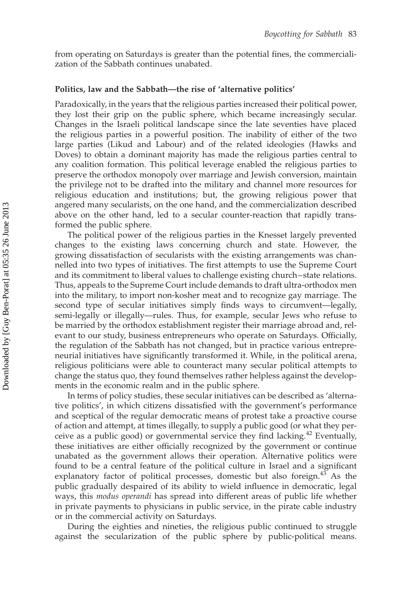from operating on Saturdays is greater than the potential fines, the commercialization of the Sabbath continues unabated.

# Politics, law and the Sabbath—the rise of 'alternative politics'

Paradoxically, in the years that the religious parties increased their political power, they lost their grip on the public sphere, which became increasingly secular. Changes in the Israeli political landscape since the late seventies have placed the religious parties in a powerful position. The inability of either of the two large parties (Likud and Labour) and of the related ideologies (Hawks and Doves) to obtain a dominant majority has made the religious parties central to any coalition formation. This political leverage enabled the religious parties to preserve the orthodox monopoly over marriage and Jewish conversion, maintain the privilege not to be drafted into the military and channel more resources for religious education and institutions; but, the growing religious power that angered many secularists, on the one hand, and the commercialization described above on the other hand, led to a secular counter-reaction that rapidly transformed the public sphere.

The political power of the religious parties in the Knesset largely prevented changes to the existing laws concerning church and state. However, the growing dissatisfaction of secularists with the existing arrangements was channelled into two types of initiatives. The first attempts to use the Supreme Court and its commitment to liberal values to challenge existing church–state relations. Thus, appeals to the Supreme Court include demands to draft ultra-orthodox men into the military, to import non-kosher meat and to recognize gay marriage. The second type of secular initiatives simply finds ways to circumvent—legally, semi-legally or illegally—rules. Thus, for example, secular Jews who refuse to be married by the orthodox establishment register their marriage abroad and, relevant to our study, business entrepreneurs who operate on Saturdays. Officially, the regulation of the Sabbath has not changed, but in practice various entrepreneurial initiatives have significantly transformed it. While, in the political arena, religious politicians were able to counteract many secular political attempts to change the status quo, they found themselves rather helpless against the developments in the economic realm and in the public sphere.

In terms of policy studies, these secular initiatives can be described as 'alternative politics', in which citizens dissatisfied with the government's performance and sceptical of the regular democratic means of protest take a proactive course of action and attempt, at times illegally, to supply a public good (or what they perceive as a public good) or governmental service they find lacking.<sup>42</sup> Eventually, these initiatives are either officially recognized by the government or continue unabated as the government allows their operation. Alternative politics were found to be a central feature of the political culture in Israel and a significant explanatory factor of political processes, domestic but also foreign.<sup>43</sup> As the public gradually despaired of its ability to wield influence in democratic, legal ways, this modus operandi has spread into different areas of public life whether in private payments to physicians in public service, in the pirate cable industry or in the commercial activity on Saturdays.

During the eighties and nineties, the religious public continued to struggle against the secularization of the public sphere by public-political means.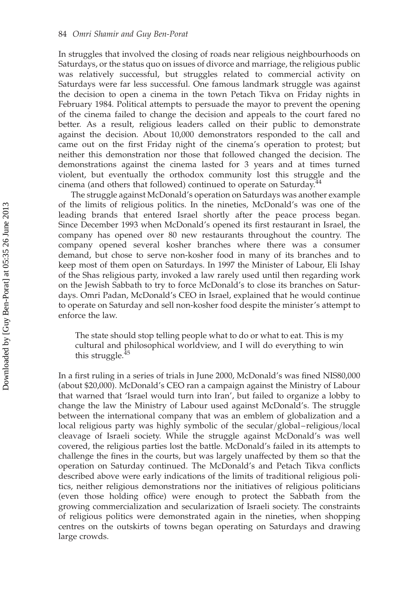In struggles that involved the closing of roads near religious neighbourhoods on Saturdays, or the status quo on issues of divorce and marriage, the religious public was relatively successful, but struggles related to commercial activity on Saturdays were far less successful. One famous landmark struggle was against the decision to open a cinema in the town Petach Tikva on Friday nights in February 1984. Political attempts to persuade the mayor to prevent the opening of the cinema failed to change the decision and appeals to the court fared no better. As a result, religious leaders called on their public to demonstrate against the decision. About 10,000 demonstrators responded to the call and came out on the first Friday night of the cinema's operation to protest; but neither this demonstration nor those that followed changed the decision. The demonstrations against the cinema lasted for 3 years and at times turned violent, but eventually the orthodox community lost this struggle and the cinema (and others that followed) continued to operate on Saturday.<sup>44</sup>

The struggle against McDonald's operation on Saturdays was another example of the limits of religious politics. In the nineties, McDonald's was one of the leading brands that entered Israel shortly after the peace process began. Since December 1993 when McDonald's opened its first restaurant in Israel, the company has opened over 80 new restaurants throughout the country. The company opened several kosher branches where there was a consumer demand, but chose to serve non-kosher food in many of its branches and to keep most of them open on Saturdays. In 1997 the Minister of Labour, Eli Ishay of the Shas religious party, invoked a law rarely used until then regarding work on the Jewish Sabbath to try to force McDonald's to close its branches on Saturdays. Omri Padan, McDonald's CEO in Israel, explained that he would continue to operate on Saturday and sell non-kosher food despite the minister's attempt to enforce the law.

The state should stop telling people what to do or what to eat. This is my cultural and philosophical worldview, and I will do everything to win this struggle.<sup>45</sup>

In a first ruling in a series of trials in June 2000, McDonald's was fined NIS80,000 (about \$20,000). McDonald's CEO ran a campaign against the Ministry of Labour that warned that 'Israel would turn into Iran', but failed to organize a lobby to change the law the Ministry of Labour used against McDonald's. The struggle between the international company that was an emblem of globalization and a local religious party was highly symbolic of the secular/global–religious/local cleavage of Israeli society. While the struggle against McDonald's was well covered, the religious parties lost the battle. McDonald's failed in its attempts to challenge the fines in the courts, but was largely unaffected by them so that the operation on Saturday continued. The McDonald's and Petach Tikva conflicts described above were early indications of the limits of traditional religious politics, neither religious demonstrations nor the initiatives of religious politicians (even those holding office) were enough to protect the Sabbath from the growing commercialization and secularization of Israeli society. The constraints of religious politics were demonstrated again in the nineties, when shopping centres on the outskirts of towns began operating on Saturdays and drawing large crowds.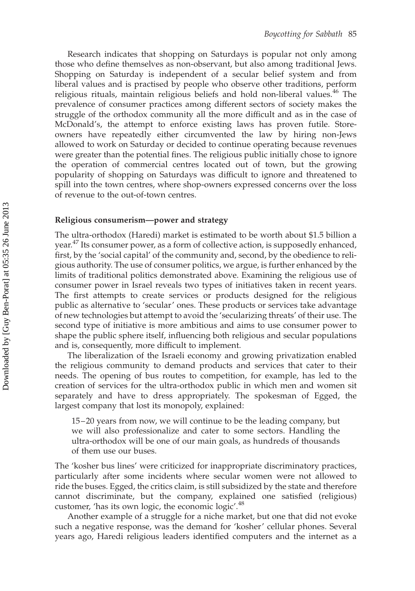Research indicates that shopping on Saturdays is popular not only among those who define themselves as non-observant, but also among traditional Jews. Shopping on Saturday is independent of a secular belief system and from liberal values and is practised by people who observe other traditions, perform religious rituals, maintain religious beliefs and hold non-liberal values.<sup>46</sup> The prevalence of consumer practices among different sectors of society makes the struggle of the orthodox community all the more difficult and as in the case of McDonald's, the attempt to enforce existing laws has proven futile. Storeowners have repeatedly either circumvented the law by hiring non-Jews allowed to work on Saturday or decided to continue operating because revenues were greater than the potential fines. The religious public initially chose to ignore the operation of commercial centres located out of town, but the growing popularity of shopping on Saturdays was difficult to ignore and threatened to spill into the town centres, where shop-owners expressed concerns over the loss of revenue to the out-of-town centres.

### Religious consumerism—power and strategy

The ultra-orthodox (Haredi) market is estimated to be worth about \$1.5 billion a year.<sup>47</sup> Its consumer power, as a form of collective action, is supposedly enhanced, first, by the 'social capital' of the community and, second, by the obedience to religious authority. The use of consumer politics, we argue, is further enhanced by the limits of traditional politics demonstrated above. Examining the religious use of consumer power in Israel reveals two types of initiatives taken in recent years. The first attempts to create services or products designed for the religious public as alternative to 'secular' ones. These products or services take advantage of new technologies but attempt to avoid the 'secularizing threats' of their use. The second type of initiative is more ambitious and aims to use consumer power to shape the public sphere itself, influencing both religious and secular populations and is, consequently, more difficult to implement.

The liberalization of the Israeli economy and growing privatization enabled the religious community to demand products and services that cater to their needs. The opening of bus routes to competition, for example, has led to the creation of services for the ultra-orthodox public in which men and women sit separately and have to dress appropriately. The spokesman of Egged, the largest company that lost its monopoly, explained:

15–20 years from now, we will continue to be the leading company, but we will also professionalize and cater to some sectors. Handling the ultra-orthodox will be one of our main goals, as hundreds of thousands of them use our buses.

The 'kosher bus lines' were criticized for inappropriate discriminatory practices, particularly after some incidents where secular women were not allowed to ride the buses. Egged, the critics claim, is still subsidized by the state and therefore cannot discriminate, but the company, explained one satisfied (religious) customer, 'has its own logic, the economic logic'.<sup>48</sup>

Another example of a struggle for a niche market, but one that did not evoke such a negative response, was the demand for 'kosher' cellular phones. Several years ago, Haredi religious leaders identified computers and the internet as a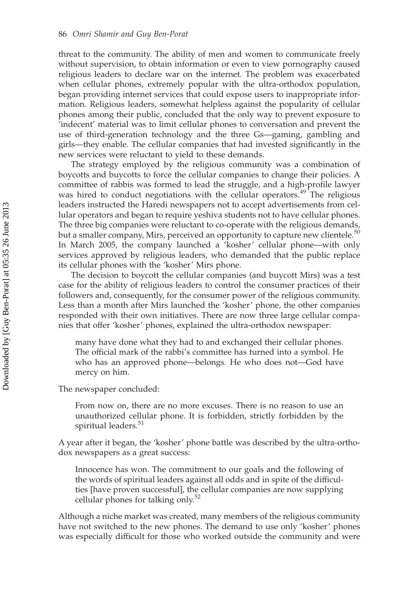threat to the community. The ability of men and women to communicate freely without supervision, to obtain information or even to view pornography caused religious leaders to declare war on the internet. The problem was exacerbated when cellular phones, extremely popular with the ultra-orthodox population, began providing internet services that could expose users to inappropriate information. Religious leaders, somewhat helpless against the popularity of cellular phones among their public, concluded that the only way to prevent exposure to 'indecent' material was to limit cellular phones to conversation and prevent the use of third-generation technology and the three Gs—gaming, gambling and girls—they enable. The cellular companies that had invested significantly in the new services were reluctant to yield to these demands.

The strategy employed by the religious community was a combination of boycotts and buycotts to force the cellular companies to change their policies. A committee of rabbis was formed to lead the struggle, and a high-profile lawyer was hired to conduct negotiations with the cellular operators.<sup>49</sup> The religious leaders instructed the Haredi newspapers not to accept advertisements from cellular operators and began to require yeshiva students not to have cellular phones. The three big companies were reluctant to co-operate with the religious demands, but a smaller company, Mirs, perceived an opportunity to capture new clientele.<sup>50</sup> In March 2005, the company launched a 'kosher' cellular phone—with only services approved by religious leaders, who demanded that the public replace its cellular phones with the 'kosher' Mirs phone.

The decision to boycott the cellular companies (and buycott Mirs) was a test case for the ability of religious leaders to control the consumer practices of their followers and, consequently, for the consumer power of the religious community. Less than a month after Mirs launched the 'kosher' phone, the other companies responded with their own initiatives. There are now three large cellular companies that offer 'kosher' phones, explained the ultra-orthodox newspaper:

many have done what they had to and exchanged their cellular phones. The official mark of the rabbi's committee has turned into a symbol. He who has an approved phone—belongs. He who does not—God have mercy on him.

The newspaper concluded:

From now on, there are no more excuses. There is no reason to use an unauthorized cellular phone. It is forbidden, strictly forbidden by the spiritual leaders.<sup>51</sup>

A year after it began, the 'kosher' phone battle was described by the ultra-orthodox newspapers as a great success:

Innocence has won. The commitment to our goals and the following of the words of spiritual leaders against all odds and in spite of the difficulties [have proven successful], the cellular companies are now supplying cellular phones for talking only.<sup>52</sup>

Although a niche market was created, many members of the religious community have not switched to the new phones. The demand to use only 'kosher' phones was especially difficult for those who worked outside the community and were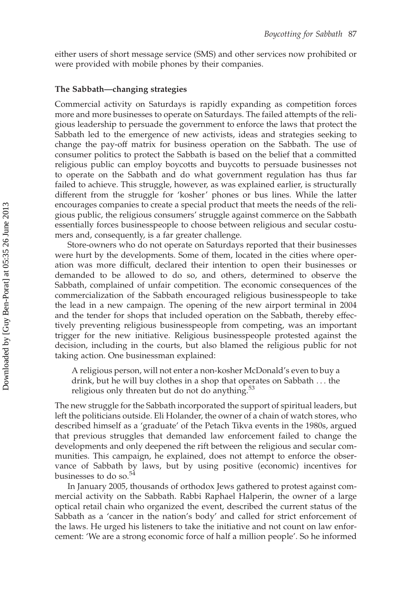either users of short message service (SMS) and other services now prohibited or were provided with mobile phones by their companies.

# The Sabbath—changing strategies

Commercial activity on Saturdays is rapidly expanding as competition forces more and more businesses to operate on Saturdays. The failed attempts of the religious leadership to persuade the government to enforce the laws that protect the Sabbath led to the emergence of new activists, ideas and strategies seeking to change the pay-off matrix for business operation on the Sabbath. The use of consumer politics to protect the Sabbath is based on the belief that a committed religious public can employ boycotts and buycotts to persuade businesses not to operate on the Sabbath and do what government regulation has thus far failed to achieve. This struggle, however, as was explained earlier, is structurally different from the struggle for 'kosher' phones or bus lines. While the latter encourages companies to create a special product that meets the needs of the religious public, the religious consumers' struggle against commerce on the Sabbath essentially forces businesspeople to choose between religious and secular costumers and, consequently, is a far greater challenge.

Store-owners who do not operate on Saturdays reported that their businesses were hurt by the developments. Some of them, located in the cities where operation was more difficult, declared their intention to open their businesses or demanded to be allowed to do so, and others, determined to observe the Sabbath, complained of unfair competition. The economic consequences of the commercialization of the Sabbath encouraged religious businesspeople to take the lead in a new campaign. The opening of the new airport terminal in 2004 and the tender for shops that included operation on the Sabbath, thereby effectively preventing religious businesspeople from competing, was an important trigger for the new initiative. Religious businesspeople protested against the decision, including in the courts, but also blamed the religious public for not taking action. One businessman explained:

A religious person, will not enter a non-kosher McDonald's even to buy a drink, but he will buy clothes in a shop that operates on Sabbath ... the religious only threaten but do not do anything.<sup>53</sup>

The new struggle for the Sabbath incorporated the support of spiritual leaders, but left the politicians outside. Eli Holander, the owner of a chain of watch stores, who described himself as a 'graduate' of the Petach Tikva events in the 1980s, argued that previous struggles that demanded law enforcement failed to change the developments and only deepened the rift between the religious and secular communities. This campaign, he explained, does not attempt to enforce the observance of Sabbath by laws, but by using positive (economic) incentives for businesses to do so. $54$ 

In January 2005, thousands of orthodox Jews gathered to protest against commercial activity on the Sabbath. Rabbi Raphael Halperin, the owner of a large optical retail chain who organized the event, described the current status of the Sabbath as a 'cancer in the nation's body' and called for strict enforcement of the laws. He urged his listeners to take the initiative and not count on law enforcement: 'We are a strong economic force of half a million people'. So he informed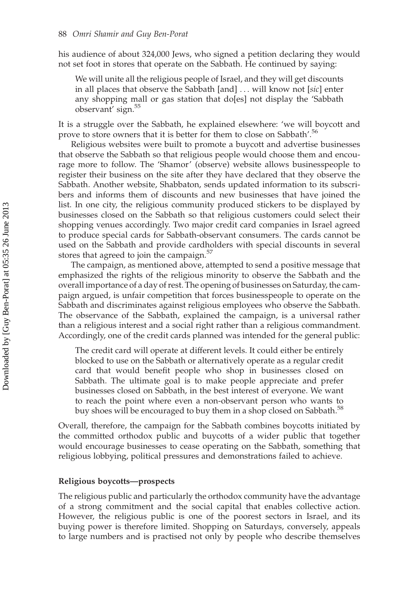his audience of about 324,000 Jews, who signed a petition declaring they would not set foot in stores that operate on the Sabbath. He continued by saying:

We will unite all the religious people of Israel, and they will get discounts in all places that observe the Sabbath [and] ... will know not [sic] enter any shopping mall or gas station that do[es] not display the 'Sabbath observant' sign.<sup>55</sup>

It is a struggle over the Sabbath, he explained elsewhere: 'we will boycott and prove to store owners that it is better for them to close on Sabbath'.<sup>56</sup>

Religious websites were built to promote a buycott and advertise businesses that observe the Sabbath so that religious people would choose them and encourage more to follow. The 'Shamor' (observe) website allows businesspeople to register their business on the site after they have declared that they observe the Sabbath. Another website, Shabbaton, sends updated information to its subscribers and informs them of discounts and new businesses that have joined the list. In one city, the religious community produced stickers to be displayed by businesses closed on the Sabbath so that religious customers could select their shopping venues accordingly. Two major credit card companies in Israel agreed to produce special cards for Sabbath-observant consumers. The cards cannot be used on the Sabbath and provide cardholders with special discounts in several stores that agreed to join the campaign.<sup>57</sup>

The campaign, as mentioned above, attempted to send a positive message that emphasized the rights of the religious minority to observe the Sabbath and the overall importance of a day of rest. The opening of businesses on Saturday, the campaign argued, is unfair competition that forces businesspeople to operate on the Sabbath and discriminates against religious employees who observe the Sabbath. The observance of the Sabbath, explained the campaign, is a universal rather than a religious interest and a social right rather than a religious commandment. Accordingly, one of the credit cards planned was intended for the general public:

The credit card will operate at different levels. It could either be entirely blocked to use on the Sabbath or alternatively operate as a regular credit card that would benefit people who shop in businesses closed on Sabbath. The ultimate goal is to make people appreciate and prefer businesses closed on Sabbath, in the best interest of everyone. We want to reach the point where even a non-observant person who wants to buy shoes will be encouraged to buy them in a shop closed on Sabbath.<sup>58</sup>

Overall, therefore, the campaign for the Sabbath combines boycotts initiated by the committed orthodox public and buycotts of a wider public that together would encourage businesses to cease operating on the Sabbath, something that religious lobbying, political pressures and demonstrations failed to achieve.

# Religious boycotts—prospects

The religious public and particularly the orthodox community have the advantage of a strong commitment and the social capital that enables collective action. However, the religious public is one of the poorest sectors in Israel, and its buying power is therefore limited. Shopping on Saturdays, conversely, appeals to large numbers and is practised not only by people who describe themselves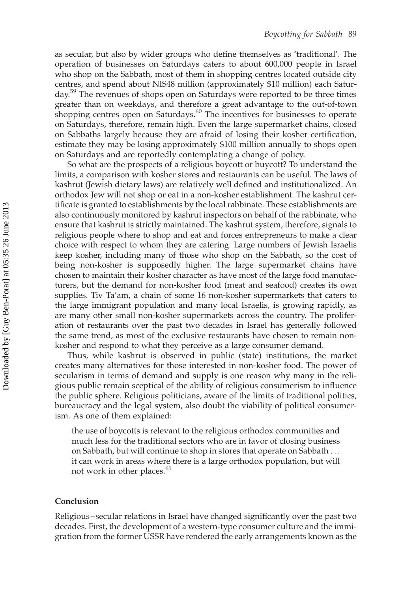as secular, but also by wider groups who define themselves as 'traditional'. The operation of businesses on Saturdays caters to about 600,000 people in Israel who shop on the Sabbath, most of them in shopping centres located outside city centres, and spend about NIS48 million (approximately \$10 million) each Saturday.<sup>59</sup> The revenues of shops open on Saturdays were reported to be three times greater than on weekdays, and therefore a great advantage to the out-of-town shopping centres open on Saturdays.<sup>60</sup> The incentives for businesses to operate on Saturdays, therefore, remain high. Even the large supermarket chains, closed on Sabbaths largely because they are afraid of losing their kosher certification, estimate they may be losing approximately \$100 million annually to shops open on Saturdays and are reportedly contemplating a change of policy.

So what are the prospects of a religious boycott or buycott? To understand the limits, a comparison with kosher stores and restaurants can be useful. The laws of kashrut (Jewish dietary laws) are relatively well defined and institutionalized. An orthodox Jew will not shop or eat in a non-kosher establishment. The kashrut certificate is granted to establishments by the local rabbinate. These establishments are also continuously monitored by kashrut inspectors on behalf of the rabbinate, who ensure that kashrut is strictly maintained. The kashrut system, therefore, signals to religious people where to shop and eat and forces entrepreneurs to make a clear choice with respect to whom they are catering. Large numbers of Jewish Israelis keep kosher, including many of those who shop on the Sabbath, so the cost of being non-kosher is supposedly higher. The large supermarket chains have chosen to maintain their kosher character as have most of the large food manufacturers, but the demand for non-kosher food (meat and seafood) creates its own supplies. Tiv Ta'am, a chain of some 16 non-kosher supermarkets that caters to the large immigrant population and many local Israelis, is growing rapidly, as are many other small non-kosher supermarkets across the country. The proliferation of restaurants over the past two decades in Israel has generally followed the same trend, as most of the exclusive restaurants have chosen to remain nonkosher and respond to what they perceive as a large consumer demand.

Thus, while kashrut is observed in public (state) institutions, the market creates many alternatives for those interested in non-kosher food. The power of secularism in terms of demand and supply is one reason why many in the religious public remain sceptical of the ability of religious consumerism to influence the public sphere. Religious politicians, aware of the limits of traditional politics, bureaucracy and the legal system, also doubt the viability of political consumerism. As one of them explained:

the use of boycotts is relevant to the religious orthodox communities and much less for the traditional sectors who are in favor of closing business on Sabbath, but will continue to shop in stores that operate on Sabbath ... it can work in areas where there is a large orthodox population, but will not work in other places.<sup>61</sup>

# Conclusion

Religious–secular relations in Israel have changed significantly over the past two decades. First, the development of a western-type consumer culture and the immigration from the former USSR have rendered the early arrangements known as the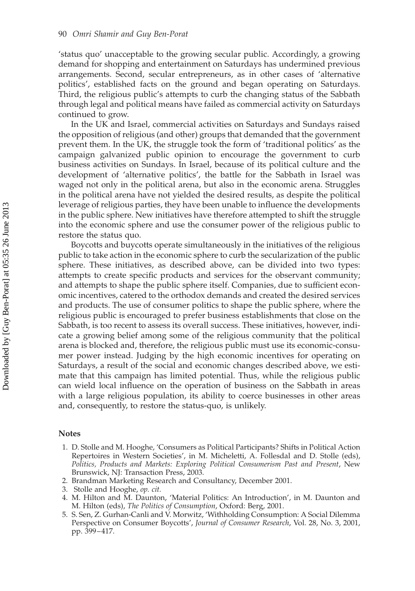'status quo' unacceptable to the growing secular public. Accordingly, a growing demand for shopping and entertainment on Saturdays has undermined previous arrangements. Second, secular entrepreneurs, as in other cases of 'alternative politics', established facts on the ground and began operating on Saturdays. Third, the religious public's attempts to curb the changing status of the Sabbath through legal and political means have failed as commercial activity on Saturdays continued to grow.

In the UK and Israel, commercial activities on Saturdays and Sundays raised the opposition of religious (and other) groups that demanded that the government prevent them. In the UK, the struggle took the form of 'traditional politics' as the campaign galvanized public opinion to encourage the government to curb business activities on Sundays. In Israel, because of its political culture and the development of 'alternative politics', the battle for the Sabbath in Israel was waged not only in the political arena, but also in the economic arena. Struggles in the political arena have not yielded the desired results, as despite the political leverage of religious parties, they have been unable to influence the developments in the public sphere. New initiatives have therefore attempted to shift the struggle into the economic sphere and use the consumer power of the religious public to restore the status quo.

Boycotts and buycotts operate simultaneously in the initiatives of the religious public to take action in the economic sphere to curb the secularization of the public sphere. These initiatives, as described above, can be divided into two types: attempts to create specific products and services for the observant community; and attempts to shape the public sphere itself. Companies, due to sufficient economic incentives, catered to the orthodox demands and created the desired services and products. The use of consumer politics to shape the public sphere, where the religious public is encouraged to prefer business establishments that close on the Sabbath, is too recent to assess its overall success. These initiatives, however, indicate a growing belief among some of the religious community that the political arena is blocked and, therefore, the religious public must use its economic-consumer power instead. Judging by the high economic incentives for operating on Saturdays, a result of the social and economic changes described above, we estimate that this campaign has limited potential. Thus, while the religious public can wield local influence on the operation of business on the Sabbath in areas with a large religious population, its ability to coerce businesses in other areas and, consequently, to restore the status-quo, is unlikely.

# Notes

- 1. D. Stolle and M. Hooghe, 'Consumers as Political Participants? Shifts in Political Action Repertoires in Western Societies', in M. Micheletti, A. Follesdal and D. Stolle (eds), Politics, Products and Markets: Exploring Political Consumerism Past and Present, New Brunswick, NJ: Transaction Press, 2003.
- 2. Brandman Marketing Research and Consultancy, December 2001.
- 3. Stolle and Hooghe, op. cit.
- 4. M. Hilton and M. Daunton, 'Material Politics: An Introduction', in M. Daunton and M. Hilton (eds), The Politics of Consumption, Oxford: Berg, 2001.
- 5. S. Sen, Z. Gurhan-Canli and V. Morwitz, 'Withholding Consumption: A Social Dilemma Perspective on Consumer Boycotts', Journal of Consumer Research, Vol. 28, No. 3, 2001, pp. 399–417.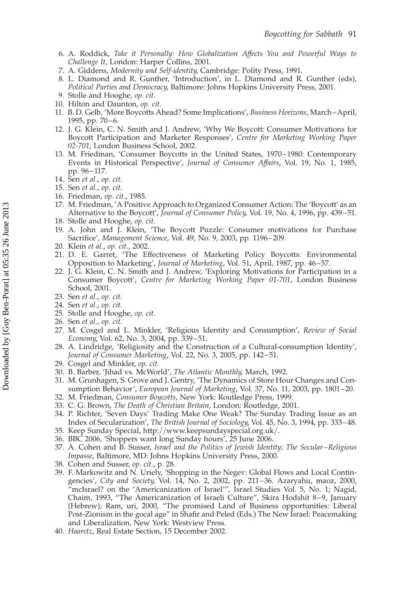- 6. A. Roddick, Take it Personally: How Globalization Affects You and Powerful Ways to Challenge It, London: Harper Collins, 2001.
- 7. A. Giddens, Modernity and Self-identity, Cambridge: Polity Press, 1991.
- 8. L. Diamond and R. Gunther, 'Introduction', in L. Diamond and R. Gunther (eds), Political Parties and Democracy, Baltimore: Johns Hopkins University Press, 2001.
- 9. Stolle and Hooghe, op. cit.
- 10. Hilton and Daunton, op. cit.
- 11. B. D. Gelb, 'More Boycotts Ahead? Some Implications', Business Horizons, March–April, 1995, pp. 70–6.
- 12. J. G. Klein, C. N. Smith and J. Andrew, 'Why We Boycott: Consumer Motivations for Boycott Participation and Marketer Responses', Centre for Marketing Working Paper 02-701, London Business School, 2002.
- 13. M. Friedman, 'Consumer Boycotts in the United States, 1970–1980: Contemporary Events in Historical Perspective', Journal of Consumer Affairs, Vol. 19, No. 1, 1985, pp. 96–117.
- 14. Sen et al., op. cit.
- 15. Sen et al., op. cit.
- 16. Friedman, op. cit., 1985.
- 17. M. Friedman, 'A Positive Approach to Organized Consumer Action: The 'Boycott' as an Alternative to the Boycott', Journal of Consumer Policy, Vol. 19, No. 4, 1996, pp. 439–51.
- 18. Stolle and Hooghe, op. cit.
- 19. A. John and J. Klein, 'The Boycott Puzzle: Consumer motivations for Purchase Sacrifice', Management Science, Vol. 49, No. 9, 2003, pp. 1196–209.
- 20. Klein et al., op. cit., 2002.
- 21. D. E. Garret, 'The Effectiveness of Marketing Policy Boycotts: Environmental Opposition to Marketing', Journal of Marketing, Vol. 51, April, 1987, pp. 46–57.
- 22. J. G. Klein, C. N. Smith and J. Andrew, 'Exploring Motivations for Participation in a Consumer Boycott', Centre for Marketing Working Paper 01-701, London Business School, 2001.
- 23. Sen et al., op. cit.
- 24. Sen et al., op. cit.
- 25. Stolle and Hooghe, op. cit.
- 26. Sen et al., op. cit.
- 27. M. Cosgel and L. Minkler, 'Religious Identity and Consumption', Review of Social Economy, Vol. 62, No. 3, 2004, pp. 339–51.
- 28. A. Lindridge, 'Religiosity and the Construction of a Cultural-consumption Identity', Journal of Consumer Marketing, Vol. 22, No. 3, 2005, pp. 142–51.
- 29. Cosgel and Minkler, op. cit.
- 30. B. Barber, 'Jihad vs. McWorld', The Atlantic Monthly, March, 1992.
- 31. M. Grunhagen, S. Grove and J. Gentry, 'The Dynamics of Store Hour Changes and Consumption Behavior', European Journal of Marketing, Vol. 37, No. 11, 2003, pp. 1801–20.
- 32. M. Friedman, Consumer Boycotts, New York: Routledge Press, 1999.
- 33. C. G. Brown, The Death of Christian Britain, London: Routledge, 2001.
- 34. P. Richter, 'Seven Days' Trading Make One Weak? The Sunday Trading Issue as an Index of Secularization', The British Journal of Sociology, Vol. 45, No. 3, 1994, pp. 333–48.
- 35. Keep Sunday Special, http://www.keepsundayspecial.org.uk/.
- 36. BBC 2006, 'Shoppers want long Sunday hours', 25 June 2006.
- 37. A. Cohen and B. Susser, Israel and the Politics of Jewish Identity; The Secular–Religious Impasse, Baltimore, MD: Johns Hopkins University Press, 2000.
- 38. Cohen and Susser, op. cit., p. 28.
- 39. F. Markowitz and N. Uriely, 'Shopping in the Negev: Global Flows and Local Contingencies', City and Society, Vol. 14, No. 2, 2002, pp. 211–36. Azaryahu, maoz, 2000, "mcIsrael? on the 'Americanization of Israel'", Israel Studies Vol. 5, No. 1; Nagid, Chaim, 1993, "The Americanization of Israeli Culture", Skira Hodshit 8–9, January (Hebrew); Ram, uri, 2000, "The promised Land of Business opportunities: Liberal Post-Zionism in the gocal age" in Shafir and Peled (Eds.) The New Israel: Peacemaking and Liberalization, New York: Westview Press.
- 40. Haaretz, Real Estate Section, 15 December 2002.